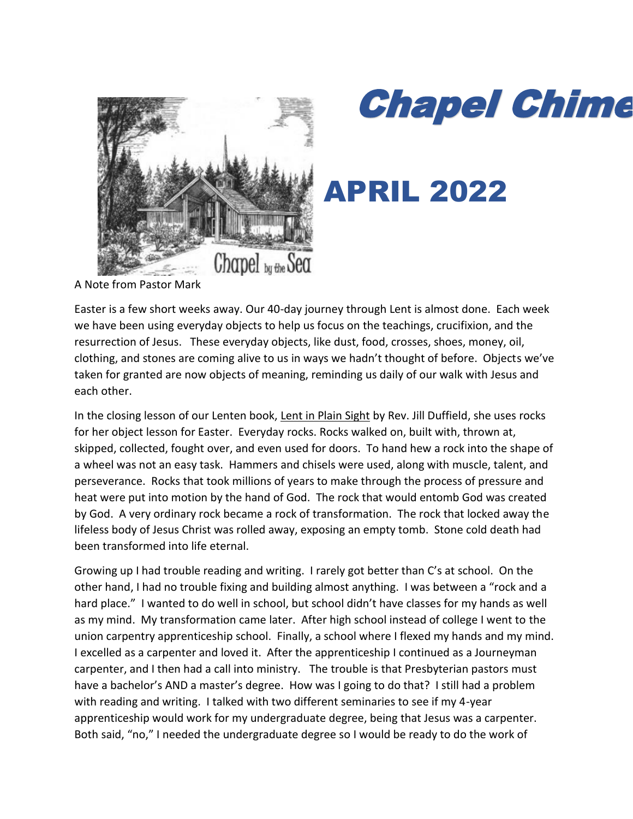

# **Chapel Chime**

# APRIL 2022

A Note from Pastor Mark

Easter is a few short weeks away. Our 40-day journey through Lent is almost done. Each week we have been using everyday objects to help us focus on the teachings, crucifixion, and the resurrection of Jesus. These everyday objects, like dust, food, crosses, shoes, money, oil, clothing, and stones are coming alive to us in ways we hadn't thought of before. Objects we've taken for granted are now objects of meaning, reminding us daily of our walk with Jesus and each other.

In the closing lesson of our Lenten book, Lent in Plain Sight by Rev. Jill Duffield, she uses rocks for her object lesson for Easter. Everyday rocks. Rocks walked on, built with, thrown at, skipped, collected, fought over, and even used for doors. To hand hew a rock into the shape of a wheel was not an easy task. Hammers and chisels were used, along with muscle, talent, and perseverance. Rocks that took millions of years to make through the process of pressure and heat were put into motion by the hand of God. The rock that would entomb God was created by God. A very ordinary rock became a rock of transformation. The rock that locked away the lifeless body of Jesus Christ was rolled away, exposing an empty tomb. Stone cold death had been transformed into life eternal.

Growing up I had trouble reading and writing. I rarely got better than C's at school. On the other hand, I had no trouble fixing and building almost anything. I was between a "rock and a hard place." I wanted to do well in school, but school didn't have classes for my hands as well as my mind. My transformation came later. After high school instead of college I went to the union carpentry apprenticeship school. Finally, a school where I flexed my hands and my mind. I excelled as a carpenter and loved it. After the apprenticeship I continued as a Journeyman carpenter, and I then had a call into ministry. The trouble is that Presbyterian pastors must have a bachelor's AND a master's degree. How was I going to do that? I still had a problem with reading and writing. I talked with two different seminaries to see if my 4-year apprenticeship would work for my undergraduate degree, being that Jesus was a carpenter. Both said, "no," I needed the undergraduate degree so I would be ready to do the work of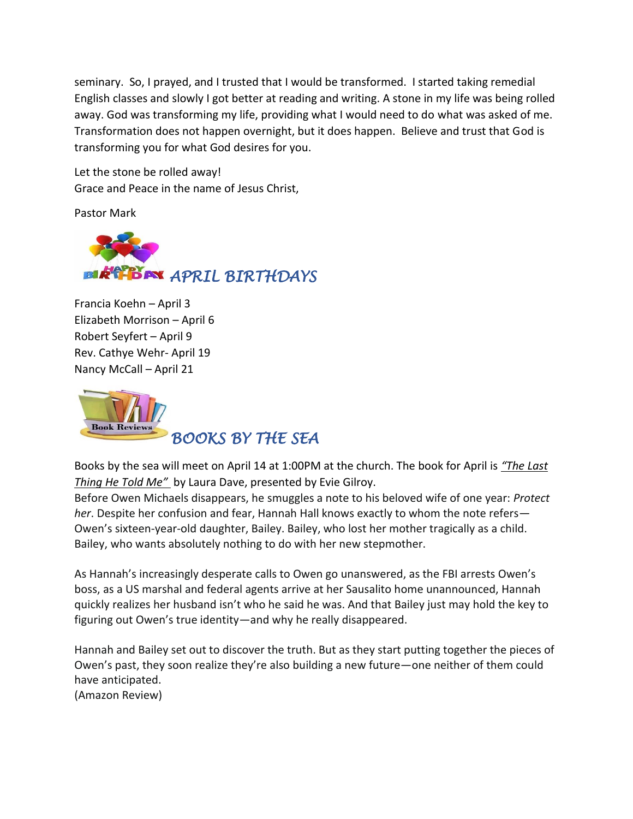seminary. So, I prayed, and I trusted that I would be transformed. I started taking remedial English classes and slowly I got better at reading and writing. A stone in my life was being rolled away. God was transforming my life, providing what I would need to do what was asked of me. Transformation does not happen overnight, but it does happen. Believe and trust that God is transforming you for what God desires for you.

Let the stone be rolled away! Grace and Peace in the name of Jesus Christ,

Pastor Mark



Francia Koehn – April 3 Elizabeth Morrison – April 6 Robert Seyfert – April 9 Rev. Cathye Wehr- April 19 Nancy McCall – April 21



Books by the sea will meet on April 14 at 1:00PM at the church. The book for April is *"The Last Thing He Told Me"* by Laura Dave, presented by Evie Gilroy.

Before Owen Michaels disappears, he smuggles a note to his beloved wife of one year: *Protect her*. Despite her confusion and fear, Hannah Hall knows exactly to whom the note refers— Owen's sixteen-year-old daughter, Bailey. Bailey, who lost her mother tragically as a child. Bailey, who wants absolutely nothing to do with her new stepmother.

As Hannah's increasingly desperate calls to Owen go unanswered, as the FBI arrests Owen's boss, as a US marshal and federal agents arrive at her Sausalito home unannounced, Hannah quickly realizes her husband isn't who he said he was. And that Bailey just may hold the key to figuring out Owen's true identity—and why he really disappeared.

Hannah and Bailey set out to discover the truth. But as they start putting together the pieces of Owen's past, they soon realize they're also building a new future—one neither of them could have anticipated. (Amazon Review)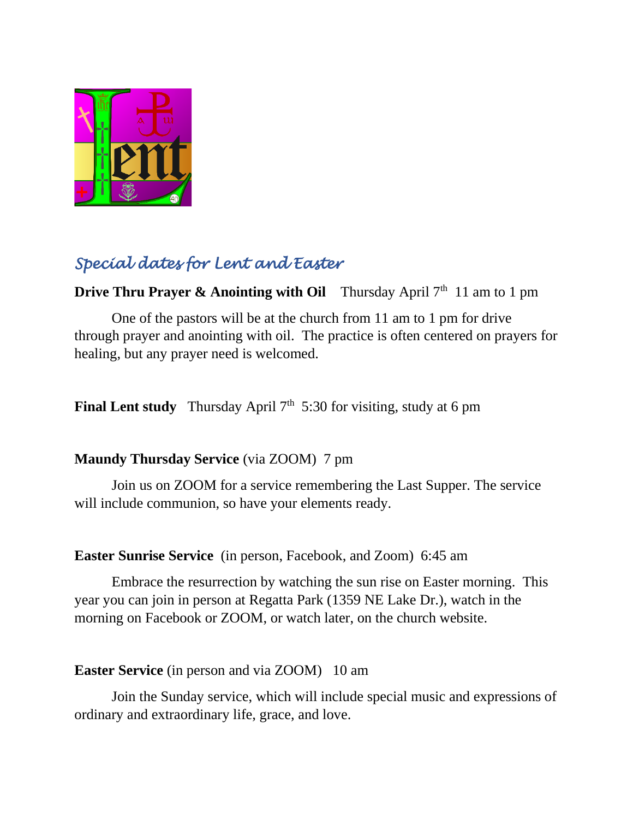

# *Special dates for Lent and Easter*

**Drive Thru Prayer & Anointing with Oil** Thursday April 7<sup>th</sup> 11 am to 1 pm

One of the pastors will be at the church from 11 am to 1 pm for drive through prayer and anointing with oil. The practice is often centered on prayers for healing, but any prayer need is welcomed.

**Final Lent study** Thursday April 7<sup>th</sup> 5:30 for visiting, study at 6 pm

#### **Maundy Thursday Service** (via ZOOM) 7 pm

Join us on ZOOM for a service remembering the Last Supper. The service will include communion, so have your elements ready.

#### **Easter Sunrise Service** (in person, Facebook, and Zoom) 6:45 am

Embrace the resurrection by watching the sun rise on Easter morning. This year you can join in person at Regatta Park (1359 NE Lake Dr.), watch in the morning on Facebook or ZOOM, or watch later, on the church website.

#### **Easter Service** (in person and via ZOOM) 10 am

Join the Sunday service, which will include special music and expressions of ordinary and extraordinary life, grace, and love.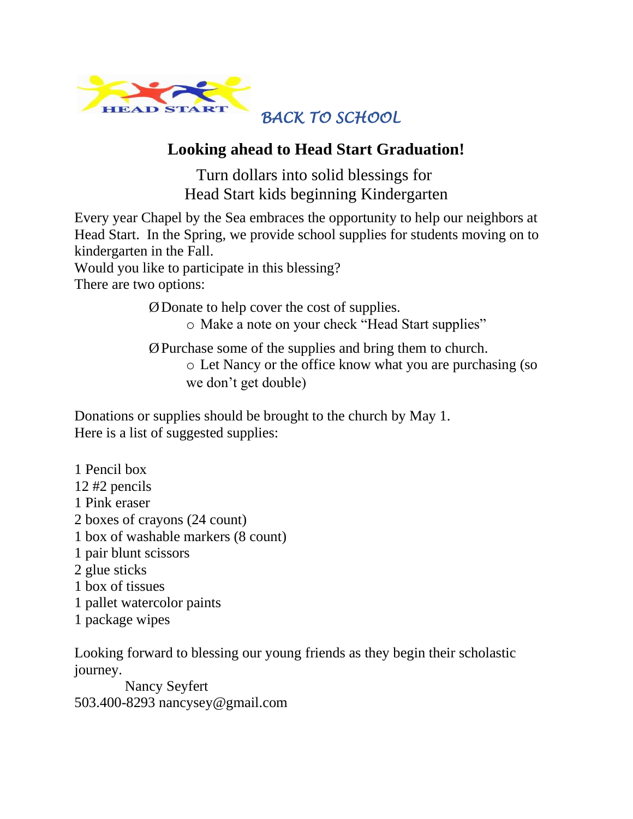

## *BACK TO SCHOOL*

### **Looking ahead to Head Start Graduation!**

Turn dollars into solid blessings for Head Start kids beginning Kindergarten

Every year Chapel by the Sea embraces the opportunity to help our neighbors at Head Start. In the Spring, we provide school supplies for students moving on to kindergarten in the Fall.

Would you like to participate in this blessing?

There are two options:

ØDonate to help cover the cost of supplies.

o Make a note on your check "Head Start supplies"

ØPurchase some of the supplies and bring them to church. o Let Nancy or the office know what you are purchasing (so we don't get double)

Donations or supplies should be brought to the church by May 1. Here is a list of suggested supplies:

1 Pencil box 12 #2 pencils 1 Pink eraser 2 boxes of crayons (24 count) 1 box of washable markers (8 count) 1 pair blunt scissors 2 glue sticks 1 box of tissues 1 pallet watercolor paints 1 package wipes

Looking forward to blessing our young friends as they begin their scholastic journey.

 Nancy Seyfert 503.400-8293 nancysey@gmail.com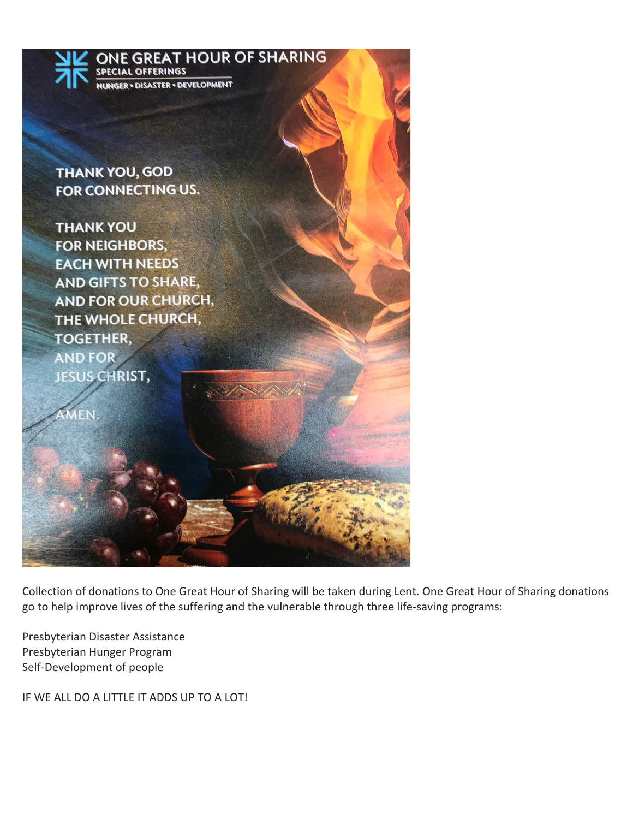

Collection of donations to One Great Hour of Sharing will be taken during Lent. One Great Hour of Sharing donations go to help improve lives of the suffering and the vulnerable through three life-saving programs:

Presbyterian Disaster Assistance Presbyterian Hunger Program Self-Development of people

IF WE ALL DO A LITTLE IT ADDS UP TO A LOT!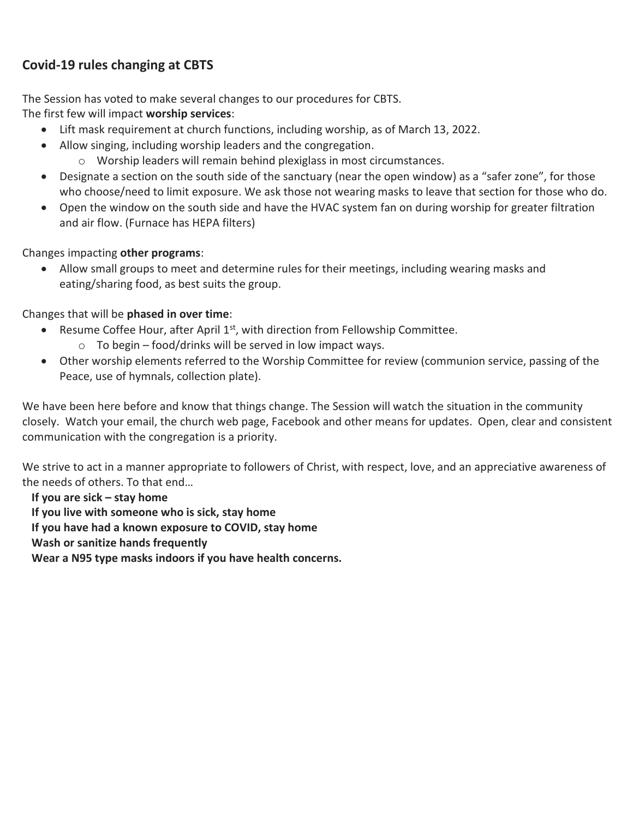#### **Covid-19 rules changing at CBTS**

The Session has voted to make several changes to our procedures for CBTS.

The first few will impact **worship services**:

- Lift mask requirement at church functions, including worship, as of March 13, 2022.
- Allow singing, including worship leaders and the congregation.
	- o Worship leaders will remain behind plexiglass in most circumstances.
- Designate a section on the south side of the sanctuary (near the open window) as a "safer zone", for those who choose/need to limit exposure. We ask those not wearing masks to leave that section for those who do.
- Open the window on the south side and have the HVAC system fan on during worship for greater filtration and air flow. (Furnace has HEPA filters)

Changes impacting **other programs**:

• Allow small groups to meet and determine rules for their meetings, including wearing masks and eating/sharing food, as best suits the group.

Changes that will be **phased in over time**:

- Resume Coffee Hour, after April  $1<sup>st</sup>$ , with direction from Fellowship Committee.  $\circ$  To begin – food/drinks will be served in low impact ways.
- Other worship elements referred to the Worship Committee for review (communion service, passing of the Peace, use of hymnals, collection plate).

We have been here before and know that things change. The Session will watch the situation in the community closely. Watch your email, the church web page, Facebook and other means for updates. Open, clear and consistent communication with the congregation is a priority.

We strive to act in a manner appropriate to followers of Christ, with respect, love, and an appreciative awareness of the needs of others. To that end…

**If you are sick – stay home If you live with someone who is sick, stay home If you have had a known exposure to COVID, stay home Wash or sanitize hands frequently Wear a N95 type masks indoors if you have health concerns.**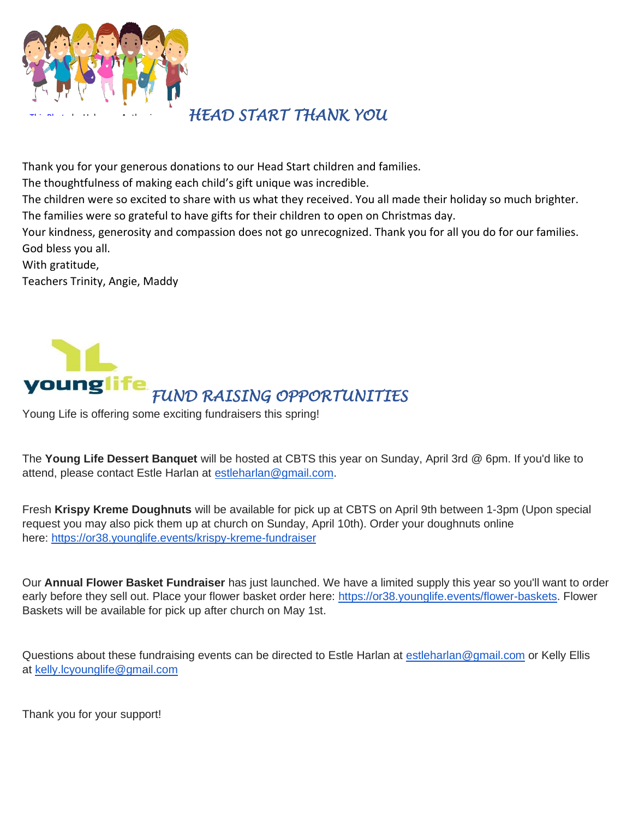

# *HEAD START THANK YOU*

Thank you for your generous donations to our Head Start children and families.

The thoughtfulness of making each child's gift unique was incredible.

The children were so excited to share with us what they received. You all made their holiday so much brighter. The families were so grateful to have gifts for their children to open on Christmas day.

Your kindness, generosity and compassion does not go unrecognized. Thank you for all you do for our families. God bless you all.

With gratitude,

Teachers Trinity, Angie, Maddy



[Young Life](https://en.wikipedia.org/wiki/Young_Life) is offeri[ng som](https://creativecommons.org/licenses/by-sa/3.0/)e exciting fundraisers this spring!

The **Young Life Dessert Banquet** will be hosted at CBTS this year on Sunday, April 3rd @ 6pm. If you'd like to attend, please contact Estle Harlan at [estleharlan@gmail.com.](mailto:estleharlan@gmail.com)

Fresh **Krispy Kreme Doughnuts** will be available for pick up at CBTS on April 9th between 1-3pm (Upon special request you may also pick them up at church on Sunday, April 10th). Order your doughnuts online here: <https://or38.younglife.events/krispy-kreme-fundraiser>

Our **Annual Flower Basket Fundraiser** has just launched. We have a limited supply this year so you'll want to order early before they sell out. Place your flower basket order here: [https://or38.younglife.events/flower-baskets.](https://or38.younglife.events/flower-baskets) Flower Baskets will be available for pick up after church on May 1st.

Questions about these fundraising events can be directed to Estle Harlan at [estleharlan@gmail.com](mailto:estleharlan@gmail.com) or Kelly Ellis at [kelly.lcyounglife@gmail.com](mailto:kelly.lcyounglife@gmail.com)

Thank you for your support!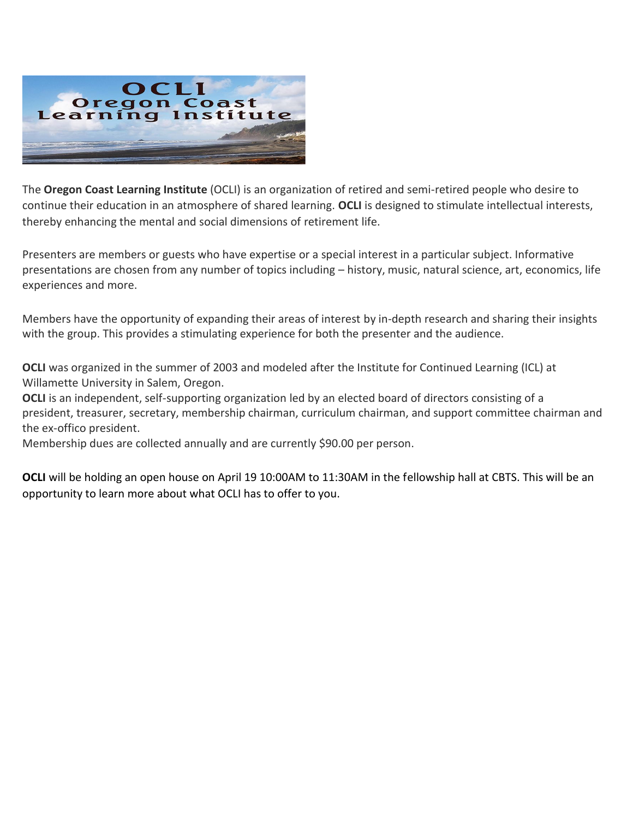

The **Oregon Coast Learning Institute** (OCLI) is an organization of retired and semi-retired people who desire to continue their education in an atmosphere of shared learning. **OCLI** is designed to stimulate intellectual interests, thereby enhancing the mental and social dimensions of retirement life.

Presenters are members or guests who have expertise or a special interest in a particular subject. Informative presentations are chosen from any number of topics including – history, music, natural science, art, economics, life experiences and more.

Members have the opportunity of expanding their areas of interest by in-depth research and sharing their insights with the group. This provides a stimulating experience for both the presenter and the audience.

**OCLI** was organized in the summer of 2003 and modeled after the Institute for Continued Learning (ICL) at Willamette University in Salem, Oregon.

**OCLI** is an independent, self-supporting organization led by an elected board of directors consisting of a president, treasurer, secretary, membership chairman, curriculum chairman, and support committee chairman and the ex-offico president.

Membership dues are collected annually and are currently \$90.00 per person.

**OCLI** will be holding an open house on April 19 10:00AM to 11:30AM in the fellowship hall at CBTS. This will be an opportunity to learn more about what OCLI has to offer to you.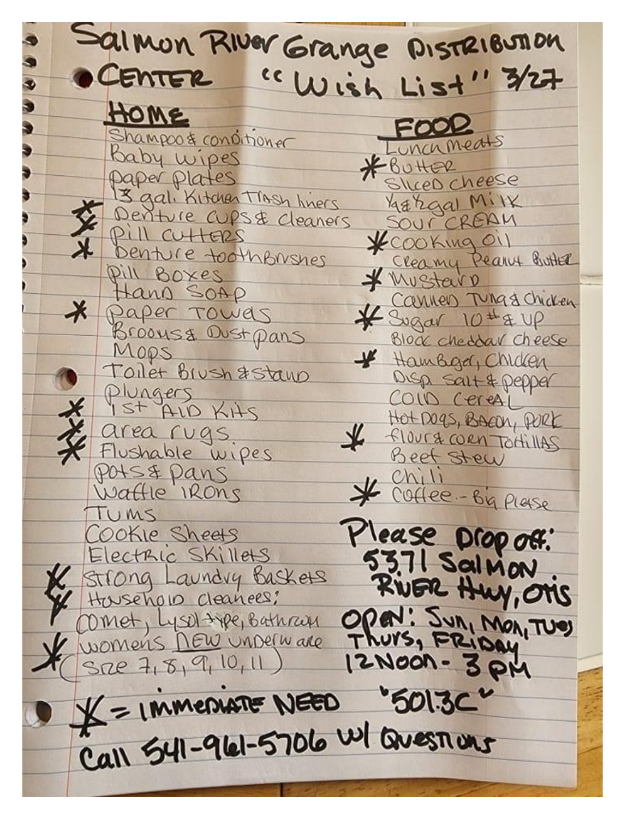Salmon River Grange Distribution "Wish List" 3/27 CENTER HOME FOOR Shampoo & conditioner Lunchmeats Baby wipes \*BUHER paper plates SILCED Cheese 3 gal, Kitchen Trash liners Margal Milk Denture CUPS& Cleaners SOUR CREAM Pill CUHERS KCOOKing Oil Denture toothbrushes Pill Boxes Wustern Hano SOAP Carnes Tungs chicken # Sugar 10 # & UP Paper Towers Brooms& Oust pans Block cheddar cheese MODS \* Hambga, Childen Toilet Biush & stand Disp sait & pepper Plungers<br>1st ALD KHS COID CereAL Hot DOZS, BACON, PORK area rugs. floura corn Tottillas Flushable wipes Beet Stew POIS & Pans  $Chili$ V Coffee-Big Plase Wattle IRONS TUMS Please Drop off. Cookie Sheets 53.71 Salmon Electric Skillers Strong Laundry Baskets Househow cleanees: Omet, Lysel the Bathrass Open: Sun, Mon, Tues 12 NOON - 3 PM  $S72e$  7, 8, 9, 10, 11)  $K = 1$  MMEDIATE NEED '501.3C" Call 541-961-5706 W/ Quesnons